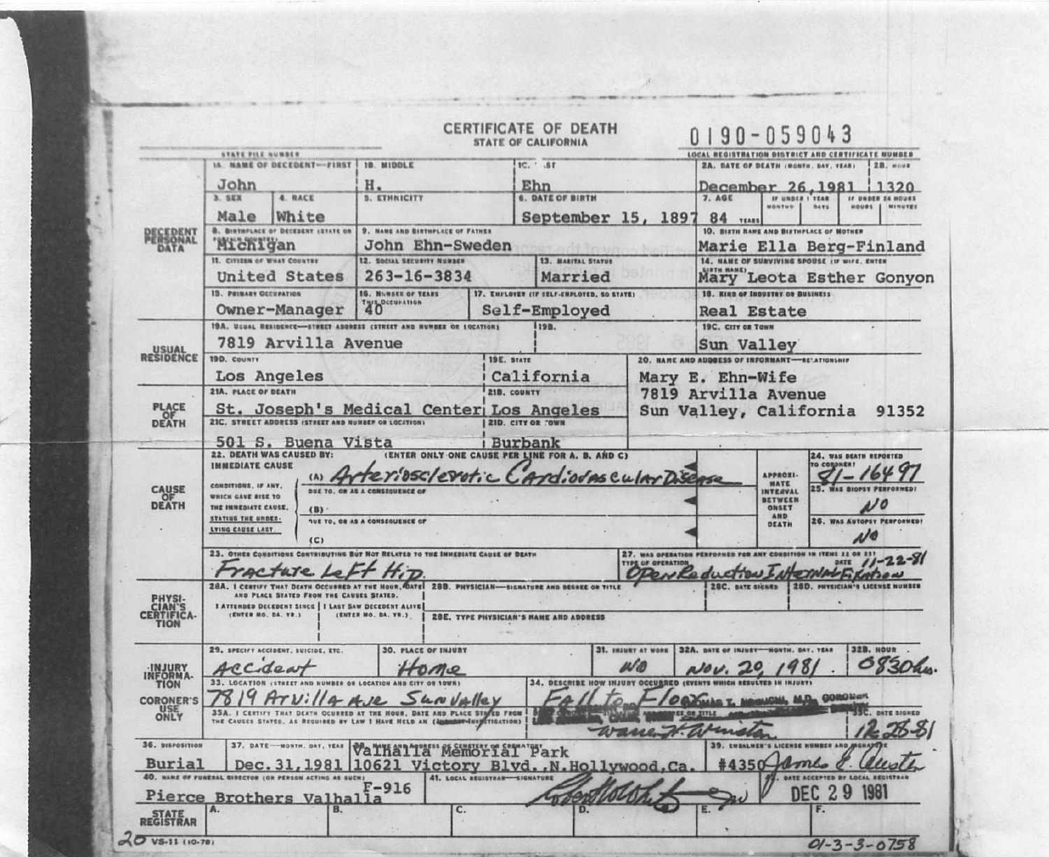|                                                                      |                                                                                                                                                                                                                                                                            |                                                                                                    |                                                                     |                               | <b>CERTIFICATE OF DEATH</b><br><b>STATE OF CALIFORNIA</b>            |                                                                                                     | $0190 - 059043$                                                            |                                                                                       |                                                                            |                                           |  |
|----------------------------------------------------------------------|----------------------------------------------------------------------------------------------------------------------------------------------------------------------------------------------------------------------------------------------------------------------------|----------------------------------------------------------------------------------------------------|---------------------------------------------------------------------|-------------------------------|----------------------------------------------------------------------|-----------------------------------------------------------------------------------------------------|----------------------------------------------------------------------------|---------------------------------------------------------------------------------------|----------------------------------------------------------------------------|-------------------------------------------|--|
|                                                                      | STATE FILE NUMBER                                                                                                                                                                                                                                                          |                                                                                                    |                                                                     |                               |                                                                      |                                                                                                     | LOCAL REGISTRATION DISTRICT AND CERTIFICATE NUMBER                         |                                                                                       |                                                                            |                                           |  |
|                                                                      | <b>IA. NAME OF DECEDENT-FIRST</b>                                                                                                                                                                                                                                          |                                                                                                    | <b>18. MIDDLE</b>                                                   |                               | $1C.$ $.5T$                                                          |                                                                                                     |                                                                            | <b>2A. DATE OF DEATH (MONTH, DAY, YEAR)</b>                                           |                                                                            | 28. номи                                  |  |
|                                                                      | John                                                                                                                                                                                                                                                                       |                                                                                                    | н.                                                                  |                               | Ehn                                                                  |                                                                                                     | December 26.1981<br>1320<br>IF UNDER I TEAR                                |                                                                                       |                                                                            |                                           |  |
|                                                                      | 3. SEX                                                                                                                                                                                                                                                                     | <b>4. RACE</b>                                                                                     | <b>5. ETHNICITY</b>                                                 |                               | <b>6. DATE OF BIRTH</b>                                              |                                                                                                     | 7. AGE                                                                     | MONTHS                                                                                | <b>DAVS</b>                                                                | IF UNDER 24 HOURS<br>1001000<br>I MINUTES |  |
|                                                                      | White<br>Male<br><b>B. BIRTHPLACE OF DECEDENT ISTATE OR</b>                                                                                                                                                                                                                |                                                                                                    | <b>9. NAME AND BIRTHPLACE OF FATHER</b>                             |                               | September 15, 1897                                                   |                                                                                                     | <b>84 TEARS</b><br>10. BISTH NAME AND BISTHPLACE OF MOTHER                 |                                                                                       |                                                                            |                                           |  |
| EDENT<br>SONAL                                                       | Michigan                                                                                                                                                                                                                                                                   |                                                                                                    | John Ehn-Sweden                                                     |                               |                                                                      |                                                                                                     |                                                                            |                                                                                       |                                                                            | Marie Ella Berg-Finland                   |  |
|                                                                      | II. CITIZEN OF WHAT COUNTRY                                                                                                                                                                                                                                                |                                                                                                    | 12. SOCIAL SECURITY NUMBER<br><b>13. MARITAL STATUS</b>             |                               |                                                                      |                                                                                                     | 14. NAME OF SURVIVING SPOUSE (IF WIFE, ENTER                               |                                                                                       |                                                                            |                                           |  |
|                                                                      | United States                                                                                                                                                                                                                                                              |                                                                                                    | $263 - 16 - 3834$                                                   |                               | Married                                                              |                                                                                                     | Mary Leota Esther Gonyon                                                   |                                                                                       |                                                                            |                                           |  |
|                                                                      | <b>15. PRIMARY OCCUPATION</b>                                                                                                                                                                                                                                              |                                                                                                    | 16. NUMBER OF YEARS<br><b>40</b>                                    |                               | 17. ENFLOYER (IF SELF-ENPLOYED, SO STATE)                            |                                                                                                     | 18. KIND OF INDUSTRY OR BUSINESS                                           |                                                                                       |                                                                            |                                           |  |
|                                                                      | Owner-Manager                                                                                                                                                                                                                                                              |                                                                                                    |                                                                     |                               | Self-Employed                                                        |                                                                                                     |                                                                            | <b>Real Estate</b>                                                                    |                                                                            |                                           |  |
| <b>USUAL</b><br>RESIDENCE                                            |                                                                                                                                                                                                                                                                            |                                                                                                    | 19A. USUAL RESIDENCE-STREET ADDRESS (STREET AND NUMBER OR LOCATION) |                               | 19B.                                                                 |                                                                                                     | 19C. CITY OR TOWN                                                          |                                                                                       |                                                                            |                                           |  |
|                                                                      | 7819 Arvilla Avenue<br>190. COUNTY                                                                                                                                                                                                                                         |                                                                                                    |                                                                     |                               | <b>19E. STATE</b>                                                    |                                                                                                     |                                                                            | Sun Valley<br>20. NAME AND ADDRESS OF INFORMANT-BELATIONSHIP                          |                                                                            |                                           |  |
|                                                                      |                                                                                                                                                                                                                                                                            |                                                                                                    |                                                                     |                               |                                                                      |                                                                                                     |                                                                            |                                                                                       |                                                                            |                                           |  |
|                                                                      | Los Angeles<br><b>21A. PLACE OF DEATH</b>                                                                                                                                                                                                                                  |                                                                                                    |                                                                     |                               | California<br>21B. COUNTY                                            |                                                                                                     | Mary E. Ehn-Wife<br>7819 Arvilla Avenue<br>Sun Valley, California<br>91352 |                                                                                       |                                                                            |                                           |  |
| PLACE<br>OF<br>DEATH                                                 |                                                                                                                                                                                                                                                                            |                                                                                                    |                                                                     |                               |                                                                      |                                                                                                     |                                                                            |                                                                                       |                                                                            |                                           |  |
|                                                                      | St. JOSeph's Medical Center LOS Angeles<br>21C. STREET ADDRESS (STREET AND NUMBER OF LOCATION)                                                                                                                                                                             |                                                                                                    |                                                                     |                               |                                                                      |                                                                                                     |                                                                            |                                                                                       |                                                                            |                                           |  |
|                                                                      | 501 S. Buena Vista                                                                                                                                                                                                                                                         |                                                                                                    |                                                                     |                               | Burbank                                                              |                                                                                                     |                                                                            |                                                                                       |                                                                            |                                           |  |
| CAUSE<br>DEATH                                                       | <b>22. DEATH WAS CAUSED BY:</b><br><b>IMMEDIATE CAUSE</b><br>idsclevotic<br>(A)<br>CONDITIONS, IF ANY.<br><b>DUE TO. OR AS A CONSEQUENCE OF</b><br>WHICH GAVE RISE TO<br>THE IMMEDIATE CAUSE,<br>(B)<br><b>STATING THE UNDER-</b><br><b>TUE TO, OR AS A CONSEQUENCE OF</b> |                                                                                                    |                                                                     |                               | (ENTER ONLY ONE CAUSE PER LINE FOR A. B. AND C)<br>AndiovascularDise |                                                                                                     |                                                                            | <b>APPROXI-</b><br><b>MATE</b><br>INTERVAL<br><b>BETWEEN</b><br>ONSET<br>AND<br>DEATH | 24. WAS DEATH REPORTED<br>TO CORDNERT<br><b>26. WAS AUTOPSY PERFORMED?</b> |                                           |  |
|                                                                      | LYING CAUSE LAST.                                                                                                                                                                                                                                                          | (C)                                                                                                |                                                                     |                               |                                                                      |                                                                                                     |                                                                            |                                                                                       |                                                                            |                                           |  |
|                                                                      | 23. OTHER CONDITIONS CONTRIBUTING BUT NOT RELATED TO THE IMMEDIATE CAUSE OF DEATH                                                                                                                                                                                          |                                                                                                    |                                                                     |                               |                                                                      | 27. WAS OPERATION PERFORMED FOR ANY CONDITION IN ITENS 22 OR 23<br><b>TYPE OF OPERATION</b><br>DATE |                                                                            |                                                                                       |                                                                            |                                           |  |
|                                                                      | 28A.                                                                                                                                                                                                                                                                       |                                                                                                    |                                                                     | 288. PHYSICIAN-               | <b>SIGNATURE AND DEGREE OR TITLE</b>                                 |                                                                                                     | 28C. DATE SIGNED                                                           |                                                                                       |                                                                            | <b>28D. PHYSICIAN'S LICENSE NUMBER</b>    |  |
| PHYSI-<br>CIAN'S<br>CERTIFICA-<br>TION                               |                                                                                                                                                                                                                                                                            | PLACE STATED FROM THE CAUSES STATED<br><b>I ATTENDED DECEDENT SINCE   I LAST SAW DECEDENT ALIV</b> | (ENTER NO. DA. YR.)                                                 |                               | <b>28E. TYPE PHYSICIAN'S NAME AND ADDRESS</b>                        |                                                                                                     |                                                                            |                                                                                       |                                                                            |                                           |  |
| INJURY<br>INFORMA-<br>TION<br><b>CORONER'S</b><br><b>USE</b><br>ONLY | 29. SPECIFY ACCIDENT, SUICIDE, ETC.<br><b>30. PLACE OF INJURY</b><br>31. INJURY AT WORK                                                                                                                                                                                    |                                                                                                    |                                                                     |                               |                                                                      |                                                                                                     | 32A, DATE OF INJURY-HONTH. DAY. YEAR                                       |                                                                                       |                                                                            | <b>32B. HOUR</b>                          |  |
|                                                                      | Caea                                                                                                                                                                                                                                                                       |                                                                                                    |                                                                     |                               |                                                                      |                                                                                                     |                                                                            |                                                                                       |                                                                            | 0830                                      |  |
|                                                                      | 34. DESCRIBE HOW INJURY OCCURRED (EVEN<br>33.<br>NUMBER OR LOCATION AND CITY.                                                                                                                                                                                              |                                                                                                    |                                                                     |                               |                                                                      |                                                                                                     |                                                                            | WHICH RESULTED IN INJURY)                                                             |                                                                            |                                           |  |
|                                                                      | <b>M.D., GOROWard</b><br>35A. I CERTIFY THAT DEATH OCURRED AT THE HOUR. DATE AND PLACE STATED FROM                                                                                                                                                                         |                                                                                                    |                                                                     |                               |                                                                      |                                                                                                     |                                                                            |                                                                                       |                                                                            | DATE SIGNE                                |  |
|                                                                      |                                                                                                                                                                                                                                                                            |                                                                                                    | AS REQUIRED BY LAW I HAVE NELD AN (40                               | I CROITADITIQUEMP             |                                                                      |                                                                                                     |                                                                            |                                                                                       |                                                                            |                                           |  |
| 36. DISPOSITION                                                      | 37. DATE-                                                                                                                                                                                                                                                                  | -MONTH. GAY, YEAR                                                                                  | Valhällä"Memöriäl"Park                                              |                               |                                                                      |                                                                                                     |                                                                            | EMBALMER'S LICENSE NUMBER AND                                                         |                                                                            |                                           |  |
| Burial                                                               | Dec.31                                                                                                                                                                                                                                                                     | 1981<br>40. HANE OF FURERAL DIRECTOR (OR PERSON ACTING AS SUCH                                     |                                                                     | 41. LOCAL REGISTRAN-SIGNATURE | 10621 Victory Blvd., N. Hollywood                                    | .Ca                                                                                                 |                                                                            | ams                                                                                   |                                                                            | DATE ACCEPTED BY LOCAL REGISTRAL          |  |
|                                                                      |                                                                                                                                                                                                                                                                            |                                                                                                    | $F-916$                                                             |                               |                                                                      |                                                                                                     |                                                                            |                                                                                       | DEC 29 1981                                                                |                                           |  |
| Pierce<br><b>STATE</b><br>REGISTRAR                                  |                                                                                                                                                                                                                                                                            | Brothers Valhalla<br>B.                                                                            |                                                                     | C.                            |                                                                      |                                                                                                     |                                                                            |                                                                                       |                                                                            |                                           |  |
|                                                                      |                                                                                                                                                                                                                                                                            |                                                                                                    |                                                                     |                               |                                                                      |                                                                                                     |                                                                            |                                                                                       |                                                                            |                                           |  |